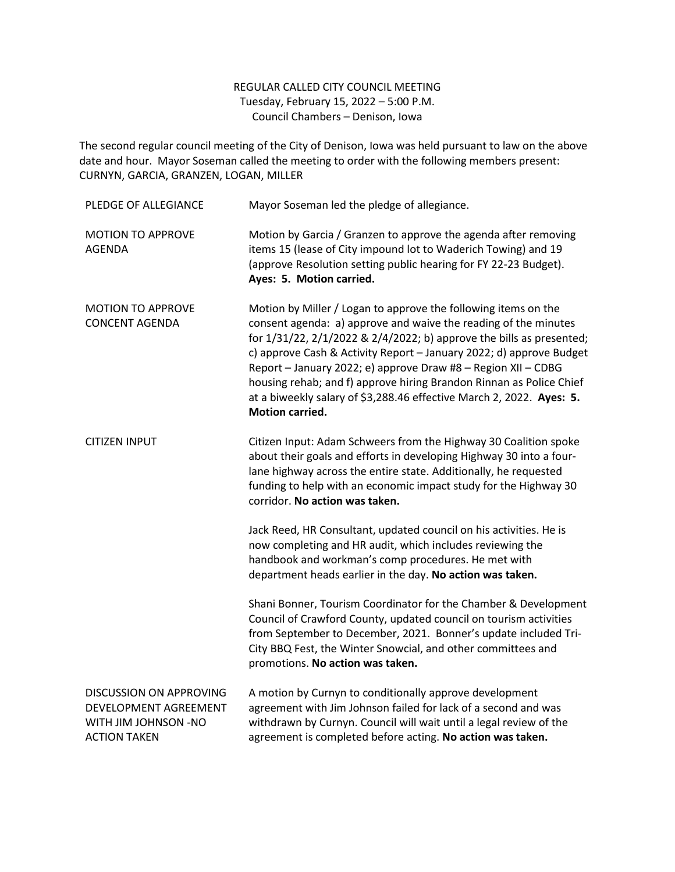## REGULAR CALLED CITY COUNCIL MEETING Tuesday, February 15, 2022 – 5:00 P.M. Council Chambers – Denison, Iowa

The second regular council meeting of the City of Denison, Iowa was held pursuant to law on the above date and hour. Mayor Soseman called the meeting to order with the following members present: CURNYN, GARCIA, GRANZEN, LOGAN, MILLER

| PLEDGE OF ALLEGIANCE                                                                                          | Mayor Soseman led the pledge of allegiance.                                                                                                                                                                                                                                                                                                                                                                                                                                                                                |
|---------------------------------------------------------------------------------------------------------------|----------------------------------------------------------------------------------------------------------------------------------------------------------------------------------------------------------------------------------------------------------------------------------------------------------------------------------------------------------------------------------------------------------------------------------------------------------------------------------------------------------------------------|
| <b>MOTION TO APPROVE</b><br>AGENDA                                                                            | Motion by Garcia / Granzen to approve the agenda after removing<br>items 15 (lease of City impound lot to Waderich Towing) and 19<br>(approve Resolution setting public hearing for FY 22-23 Budget).<br>Ayes: 5. Motion carried.                                                                                                                                                                                                                                                                                          |
| <b>MOTION TO APPROVE</b><br><b>CONCENT AGENDA</b>                                                             | Motion by Miller / Logan to approve the following items on the<br>consent agenda: a) approve and waive the reading of the minutes<br>for 1/31/22, 2/1/2022 & 2/4/2022; b) approve the bills as presented;<br>c) approve Cash & Activity Report - January 2022; d) approve Budget<br>Report - January 2022; e) approve Draw #8 - Region XII - CDBG<br>housing rehab; and f) approve hiring Brandon Rinnan as Police Chief<br>at a biweekly salary of \$3,288.46 effective March 2, 2022. Ayes: 5.<br><b>Motion carried.</b> |
| <b>CITIZEN INPUT</b>                                                                                          | Citizen Input: Adam Schweers from the Highway 30 Coalition spoke<br>about their goals and efforts in developing Highway 30 into a four-<br>lane highway across the entire state. Additionally, he requested<br>funding to help with an economic impact study for the Highway 30<br>corridor. No action was taken.                                                                                                                                                                                                          |
|                                                                                                               | Jack Reed, HR Consultant, updated council on his activities. He is<br>now completing and HR audit, which includes reviewing the<br>handbook and workman's comp procedures. He met with<br>department heads earlier in the day. No action was taken.                                                                                                                                                                                                                                                                        |
|                                                                                                               | Shani Bonner, Tourism Coordinator for the Chamber & Development<br>Council of Crawford County, updated council on tourism activities<br>from September to December, 2021. Bonner's update included Tri-<br>City BBQ Fest, the Winter Snowcial, and other committees and<br>promotions. No action was taken.                                                                                                                                                                                                                |
| <b>DISCUSSION ON APPROVING</b><br>DEVELOPMENT AGREEMENT<br><b>WITH JIM JOHNSON -NO</b><br><b>ACTION TAKEN</b> | A motion by Curnyn to conditionally approve development<br>agreement with Jim Johnson failed for lack of a second and was<br>withdrawn by Curnyn. Council will wait until a legal review of the<br>agreement is completed before acting. No action was taken.                                                                                                                                                                                                                                                              |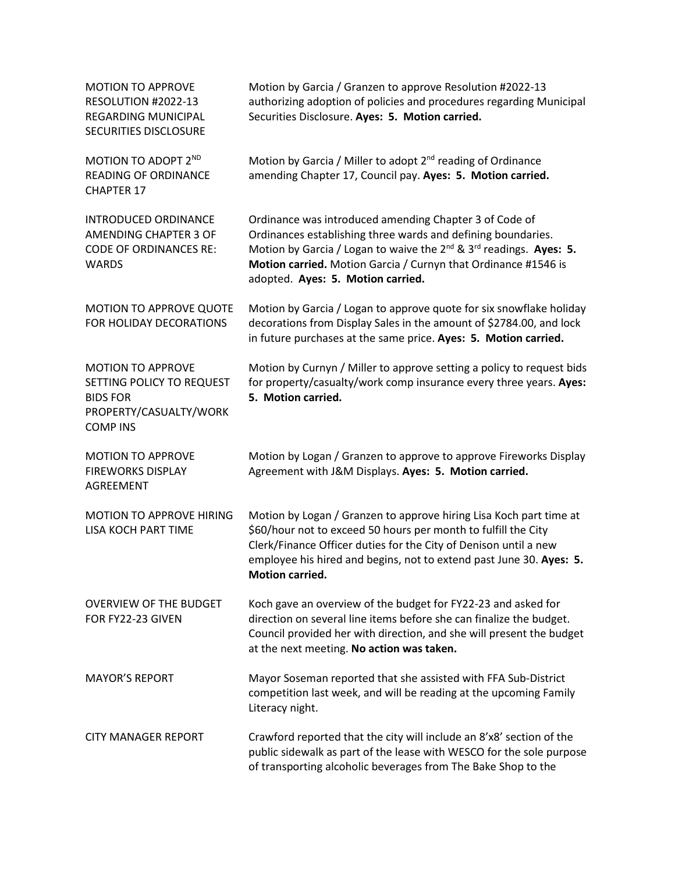| <b>MOTION TO APPROVE</b><br>RESOLUTION #2022-13<br><b>REGARDING MUNICIPAL</b><br>SECURITIES DISCLOSURE                | Motion by Garcia / Granzen to approve Resolution #2022-13<br>authorizing adoption of policies and procedures regarding Municipal<br>Securities Disclosure. Ayes: 5. Motion carried.                                                                                                                           |
|-----------------------------------------------------------------------------------------------------------------------|---------------------------------------------------------------------------------------------------------------------------------------------------------------------------------------------------------------------------------------------------------------------------------------------------------------|
| MOTION TO ADOPT 2ND<br><b>READING OF ORDINANCE</b><br><b>CHAPTER 17</b>                                               | Motion by Garcia / Miller to adopt 2 <sup>nd</sup> reading of Ordinance<br>amending Chapter 17, Council pay. Ayes: 5. Motion carried.                                                                                                                                                                         |
| <b>INTRODUCED ORDINANCE</b><br>AMENDING CHAPTER 3 OF<br><b>CODE OF ORDINANCES RE:</b><br><b>WARDS</b>                 | Ordinance was introduced amending Chapter 3 of Code of<br>Ordinances establishing three wards and defining boundaries.<br>Motion by Garcia / Logan to waive the $2^{nd}$ & $3^{rd}$ readings. Ayes: 5.<br>Motion carried. Motion Garcia / Curnyn that Ordinance #1546 is<br>adopted. Ayes: 5. Motion carried. |
| MOTION TO APPROVE QUOTE<br>FOR HOLIDAY DECORATIONS                                                                    | Motion by Garcia / Logan to approve quote for six snowflake holiday<br>decorations from Display Sales in the amount of \$2784.00, and lock<br>in future purchases at the same price. Ayes: 5. Motion carried.                                                                                                 |
| <b>MOTION TO APPROVE</b><br>SETTING POLICY TO REQUEST<br><b>BIDS FOR</b><br>PROPERTY/CASUALTY/WORK<br><b>COMP INS</b> | Motion by Curnyn / Miller to approve setting a policy to request bids<br>for property/casualty/work comp insurance every three years. Ayes:<br>5. Motion carried.                                                                                                                                             |
| <b>MOTION TO APPROVE</b><br><b>FIREWORKS DISPLAY</b><br><b>AGREEMENT</b>                                              | Motion by Logan / Granzen to approve to approve Fireworks Display<br>Agreement with J&M Displays. Ayes: 5. Motion carried.                                                                                                                                                                                    |
| MOTION TO APPROVE HIRING<br>LISA KOCH PART TIME                                                                       | Motion by Logan / Granzen to approve hiring Lisa Koch part time at<br>\$60/hour not to exceed 50 hours per month to fulfill the City<br>Clerk/Finance Officer duties for the City of Denison until a new<br>employee his hired and begins, not to extend past June 30. Ayes: 5.<br><b>Motion carried.</b>     |
| <b>OVERVIEW OF THE BUDGET</b><br>FOR FY22-23 GIVEN                                                                    | Koch gave an overview of the budget for FY22-23 and asked for<br>direction on several line items before she can finalize the budget.<br>Council provided her with direction, and she will present the budget<br>at the next meeting. No action was taken.                                                     |
| <b>MAYOR'S REPORT</b>                                                                                                 | Mayor Soseman reported that she assisted with FFA Sub-District<br>competition last week, and will be reading at the upcoming Family<br>Literacy night.                                                                                                                                                        |
| <b>CITY MANAGER REPORT</b>                                                                                            | Crawford reported that the city will include an 8'x8' section of the<br>public sidewalk as part of the lease with WESCO for the sole purpose<br>of transporting alcoholic beverages from The Bake Shop to the                                                                                                 |